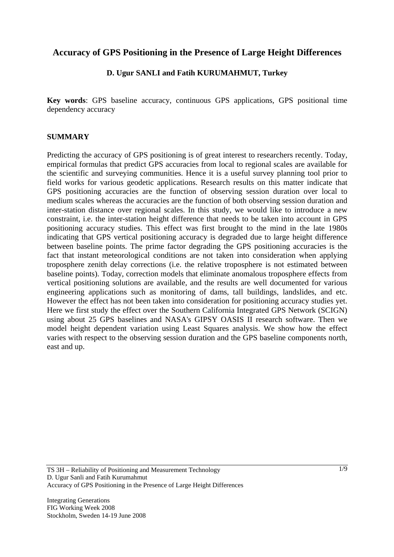# **Accuracy of GPS Positioning in the Presence of Large Height Differences**

## **D. Ugur SANLI and Fatih KURUMAHMUT, Turkey**

**Key words**: GPS baseline accuracy, continuous GPS applications, GPS positional time dependency accuracy

#### **SUMMARY**

Predicting the accuracy of GPS positioning is of great interest to researchers recently. Today, empirical formulas that predict GPS accuracies from local to regional scales are available for the scientific and surveying communities. Hence it is a useful survey planning tool prior to field works for various geodetic applications. Research results on this matter indicate that GPS positioning accuracies are the function of observing session duration over local to medium scales whereas the accuracies are the function of both observing session duration and inter-station distance over regional scales. In this study, we would like to introduce a new constraint, i.e. the inter-station height difference that needs to be taken into account in GPS positioning accuracy studies. This effect was first brought to the mind in the late 1980s indicating that GPS vertical positioning accuracy is degraded due to large height difference between baseline points. The prime factor degrading the GPS positioning accuracies is the fact that instant meteorological conditions are not taken into consideration when applying troposphere zenith delay corrections (i.e. the relative troposphere is not estimated between baseline points). Today, correction models that eliminate anomalous troposphere effects from vertical positioning solutions are available, and the results are well documented for various engineering applications such as monitoring of dams, tall buildings, landslides, and etc. However the effect has not been taken into consideration for positioning accuracy studies yet. Here we first study the effect over the Southern California Integrated GPS Network (SCIGN) using about 25 GPS baselines and NASA's GIPSY OASIS II research software. Then we model height dependent variation using Least Squares analysis. We show how the effect varies with respect to the observing session duration and the GPS baseline components north, east and up.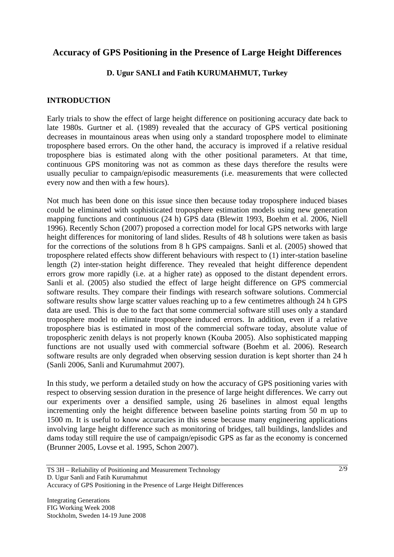# **Accuracy of GPS Positioning in the Presence of Large Height Differences**

## **D. Ugur SANLI and Fatih KURUMAHMUT, Turkey**

### **INTRODUCTION**

Early trials to show the effect of large height difference on positioning accuracy date back to late 1980s. Gurtner et al. (1989) revealed that the accuracy of GPS vertical positioning decreases in mountainous areas when using only a standard troposphere model to eliminate troposphere based errors. On the other hand, the accuracy is improved if a relative residual troposphere bias is estimated along with the other positional parameters. At that time, continuous GPS monitoring was not as common as these days therefore the results were usually peculiar to campaign/episodic measurements (i.e. measurements that were collected every now and then with a few hours).

Not much has been done on this issue since then because today troposphere induced biases could be eliminated with sophisticated troposphere estimation models using new generation mapping functions and continuous (24 h) GPS data (Blewitt 1993, Boehm et al. 2006, Niell 1996). Recently Schon (2007) proposed a correction model for local GPS networks with large height differences for monitoring of land slides. Results of 48 h solutions were taken as basis for the corrections of the solutions from 8 h GPS campaigns. Sanli et al. (2005) showed that troposphere related effects show different behaviours with respect to (1) inter-station baseline length (2) inter-station height difference. They revealed that height difference dependent errors grow more rapidly (i.e. at a higher rate) as opposed to the distant dependent errors. Sanli et al. (2005) also studied the effect of large height difference on GPS commercial software results. They compare their findings with research software solutions. Commercial software results show large scatter values reaching up to a few centimetres although 24 h GPS data are used. This is due to the fact that some commercial software still uses only a standard troposphere model to eliminate troposphere induced errors. In addition, even if a relative troposphere bias is estimated in most of the commercial software today, absolute value of tropospheric zenith delays is not properly known (Kouba 2005). Also sophisticated mapping functions are not usually used with commercial software (Boehm et al. 2006). Research software results are only degraded when observing session duration is kept shorter than 24 h (Sanli 2006, Sanli and Kurumahmut 2007).

In this study, we perform a detailed study on how the accuracy of GPS positioning varies with respect to observing session duration in the presence of large height differences. We carry out our experiments over a densified sample, using 26 baselines in almost equal lengths incrementing only the height difference between baseline points starting from 50 m up to 1500 m. It is useful to know accuracies in this sense because many engineering applications involving large height difference such as monitoring of bridges, tall buildings, landslides and dams today still require the use of campaign/episodic GPS as far as the economy is concerned (Brunner 2005, Lovse et al. 1995, Schon 2007).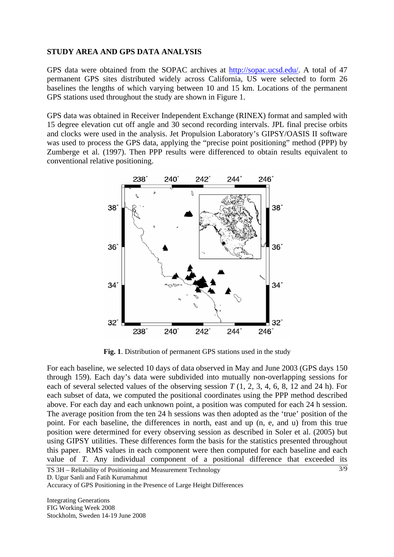#### **STUDY AREA AND GPS DATA ANALYSIS**

GPS data were obtained from the SOPAC archives at http://sopac.ucsd.edu/. A total of 47 permanent GPS sites distributed widely across California, US were selected to form 26 baselines the lengths of which varying between 10 and 15 km. Locations of the permanent GPS stations used throughout the study are shown in Figure 1.

GPS data was obtained in Receiver Independent Exchange (RINEX) format and sampled with 15 degree elevation cut off angle and 30 second recording intervals. JPL final precise orbits and clocks were used in the analysis. Jet Propulsion Laboratory's GIPSY/OASIS II software was used to process the GPS data, applying the "precise point positioning" method (PPP) by Zumberge et al. (1997). Then PPP results were differenced to obtain results equivalent to conventional relative positioning.



**Fig. 1**. Distribution of permanent GPS stations used in the study

For each baseline, we selected 10 days of data observed in May and June 2003 (GPS days 150 through 159). Each day's data were subdivided into mutually non-overlapping sessions for each of several selected values of the observing session *T* (1, 2, 3, 4, 6, 8, 12 and 24 h). For each subset of data, we computed the positional coordinates using the PPP method described above. For each day and each unknown point, a position was computed for each 24 h session. The average position from the ten 24 h sessions was then adopted as the 'true' position of the point. For each baseline, the differences in north, east and up (n, e, and u) from this true position were determined for every observing session as described in Soler et al. (2005) but using GIPSY utilities. These differences form the basis for the statistics presented throughout this paper. RMS values in each component were then computed for each baseline and each value of *T*. Any individual component of a positional difference that exceeded its

TS 3H – Reliability of Positioning and Measurement Technology D. Ugur Sanli and Fatih Kurumahmut

Accuracy of GPS Positioning in the Presence of Large Height Differences

Integrating Generations FIG Working Week 2008 Stockholm, Sweden 14-19 June 2008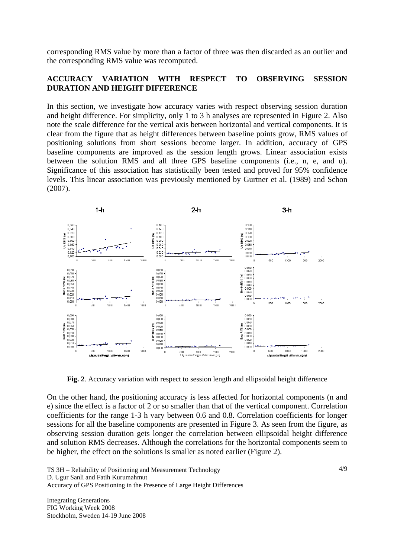corresponding RMS value by more than a factor of three was then discarded as an outlier and the corresponding RMS value was recomputed.

## **ACCURACY VARIATION WITH RESPECT TO OBSERVING SESSION DURATION AND HEIGHT DIFFERENCE**

In this section, we investigate how accuracy varies with respect observing session duration and height difference. For simplicity, only 1 to 3 h analyses are represented in Figure 2. Also note the scale difference for the vertical axis between horizontal and vertical components. It is clear from the figure that as height differences between baseline points grow, RMS values of positioning solutions from short sessions become larger. In addition, accuracy of GPS baseline components are improved as the session length grows. Linear association exists between the solution RMS and all three GPS baseline components (i.e., n, e, and u). Significance of this association has statistically been tested and proved for 95% confidence levels. This linear association was previously mentioned by Gurtner et al. (1989) and Schon (2007).



**Fig. 2**. Accuracy variation with respect to session length and ellipsoidal height difference

On the other hand, the positioning accuracy is less affected for horizontal components (n and e) since the effect is a factor of 2 or so smaller than that of the vertical component. Correlation coefficients for the range 1-3 h vary between 0.6 and 0.8. Correlation coefficients for longer sessions for all the baseline components are presented in Figure 3. As seen from the figure, as observing session duration gets longer the correlation between ellipsoidal height difference and solution RMS decreases. Although the correlations for the horizontal components seem to be higher, the effect on the solutions is smaller as noted earlier (Figure 2).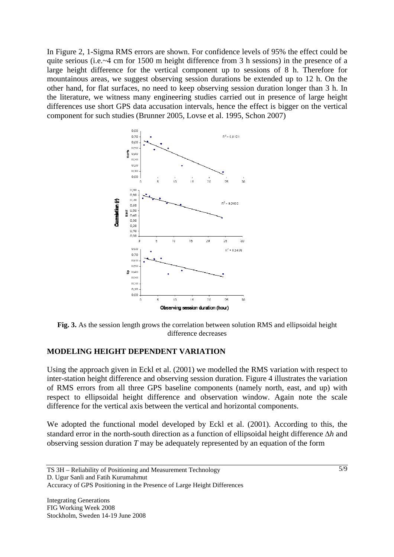In Figure 2, 1-Sigma RMS errors are shown. For confidence levels of 95% the effect could be quite serious (i.e.~4 cm for 1500 m height difference from 3 h sessions) in the presence of a large height difference for the vertical component up to sessions of 8 h. Therefore for mountainous areas, we suggest observing session durations be extended up to 12 h. On the other hand, for flat surfaces, no need to keep observing session duration longer than 3 h. In the literature, we witness many engineering studies carried out in presence of large height differences use short GPS data accusation intervals, hence the effect is bigger on the vertical component for such studies (Brunner 2005, Lovse et al. 1995, Schon 2007)



**Fig. 3.** As the session length grows the correlation between solution RMS and ellipsoidal height difference decreases

## **MODELING HEIGHT DEPENDENT VARIATION**

Using the approach given in Eckl et al. (2001) we modelled the RMS variation with respect to inter-station height difference and observing session duration. Figure 4 illustrates the variation of RMS errors from all three GPS baseline components (namely north, east, and up) with respect to ellipsoidal height difference and observation window. Again note the scale difference for the vertical axis between the vertical and horizontal components.

We adopted the functional model developed by Eckl et al. (2001). According to this, the standard error in the north-south direction as a function of ellipsoidal height difference Δ*h* and observing session duration *T* may be adequately represented by an equation of the form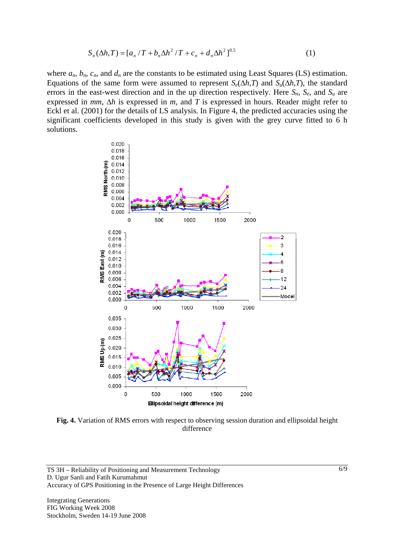$$
S_n(\Delta h, T) = [a_n / T + b_n \Delta h^2 / T + c_n + d_n \Delta h^2]^{0.5}
$$
 (1)

where  $a_n$ ,  $b_n$ ,  $c_n$ , and  $d_n$  are the constants to be estimated using Least Squares (LS) estimation. Equations of the same form were assumed to represent  $S_e(\Delta h, T)$  and  $S_u(\Delta h, T)$ , the standard errors in the east-west direction and in the up direction respectively. Here  $S_n$ ,  $S_e$ , and  $S_u$  are expressed in *mm*, Δ*h* is expressed in *m*, and *T* is expressed in hours. Reader might refer to Eckl et al. (2001) for the details of LS analysis. In Figure 4, the predicted accuracies using the significant coefficients developed in this study is given with the grey curve fitted to 6 h solutions.



**Fig. 4.** Variation of RMS errors with respect to observing session duration and ellipsoidal height difference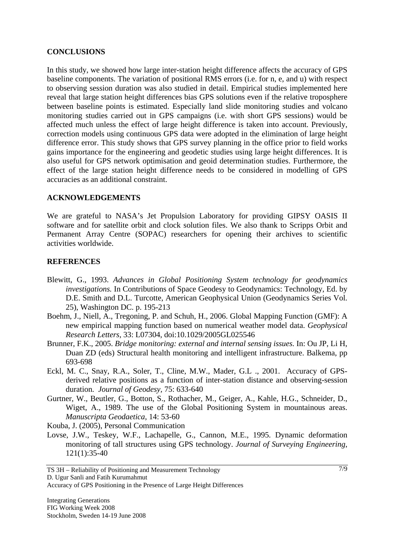#### **CONCLUSIONS**

In this study, we showed how large inter-station height difference affects the accuracy of GPS baseline components. The variation of positional RMS errors (i.e. for n, e, and u) with respect to observing session duration was also studied in detail. Empirical studies implemented here reveal that large station height differences bias GPS solutions even if the relative troposphere between baseline points is estimated. Especially land slide monitoring studies and volcano monitoring studies carried out in GPS campaigns (i.e. with short GPS sessions) would be affected much unless the effect of large height difference is taken into account. Previously, correction models using continuous GPS data were adopted in the elimination of large height difference error. This study shows that GPS survey planning in the office prior to field works gains importance for the engineering and geodetic studies using large height differences. It is also useful for GPS network optimisation and geoid determination studies. Furthermore, the effect of the large station height difference needs to be considered in modelling of GPS accuracies as an additional constraint.

#### **ACKNOWLEDGEMENTS**

We are grateful to NASA's Jet Propulsion Laboratory for providing GIPSY OASIS II software and for satellite orbit and clock solution files. We also thank to Scripps Orbit and Permanent Array Centre (SOPAC) researchers for opening their archives to scientific activities worldwide.

## **REFERENCES**

- Blewitt, G., 1993. *Advances in Global Positioning System technology for geodynamics investigations.* In Contributions of Space Geodesy to Geodynamics: Technology, Ed. by D.E. Smith and D.L. Turcotte, American Geophysical Union (Geodynamics Series Vol. 25), Washington DC. p. 195-213
- Boehm, J., Niell, A., Tregoning, P. and Schuh, H., 2006. Global Mapping Function (GMF): A new empirical mapping function based on numerical weather model data. *Geophysical Research Letters*, 33: L07304, doi:10.1029/2005GL025546
- Brunner, F.K., 2005. *Bridge monitoring: external and internal sensing issues.* In: Ou JP, Li H, Duan ZD (eds) Structural health monitoring and intelligent infrastructure. Balkema, pp 693-698
- Eckl, M. C., Snay, R.A., Soler, T., Cline, M.W., Mader, G.L ., 2001. Accuracy of GPSderived relative positions as a function of inter-station distance and observing-session duration. *Journal of Geodesy,* 75: 633-640
- Gurtner, W., Beutler, G., Botton, S., Rothacher, M., Geiger, A., Kahle, H.G., Schneider, D., Wiget, A., 1989. The use of the Global Positioning System in mountainous areas. *Manuscripta Geodaetica*, 14: 53-60

Kouba, J. (2005), Personal Communication

Lovse, J.W., Teskey, W.F., Lachapelle, G., Cannon, M.E., 1995. Dynamic deformation monitoring of tall structures using GPS technology. *Journal of Surveying Engineering*, 121(1):35-40

D. Ugur Sanli and Fatih Kurumahmut

TS 3H – Reliability of Positioning and Measurement Technology

Accuracy of GPS Positioning in the Presence of Large Height Differences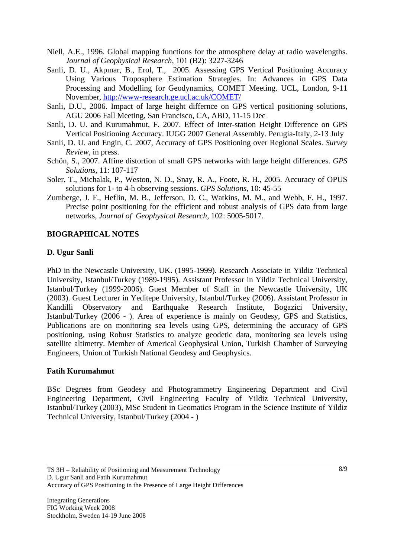- Niell, A.E., 1996. Global mapping functions for the atmosphere delay at radio wavelengths. *Journal of Geophysical Research*, 101 (B2): 3227-3246
- Sanli, D. U., Akpınar, B., Erol, T., 2005. Assessing GPS Vertical Positioning Accuracy Using Various Troposphere Estimation Strategies. In: Advances in GPS Data Processing and Modelling for Geodynamics, COMET Meeting. UCL, London, 9-11 November, http://www-research.ge.ucl.ac.uk/COMET/
- Sanli, D.U., 2006. Impact of large height differnce on GPS vertical positioning solutions, AGU 2006 Fall Meeting, San Francisco, CA, ABD, 11-15 Dec
- Sanli, D. U. and Kurumahmut, F. 2007. Effect of Inter-station Height Difference on GPS Vertical Positioning Accuracy. IUGG 2007 General Assembly. Perugia-Italy, 2-13 July
- Sanli, D. U. and Engin, C. 2007, Accuracy of GPS Positioning over Regional Scales. *Survey Review,* in press.
- Schön, S., 2007. Affine distortion of small GPS networks with large height differences. *GPS Solutions*, 11: 107-117
- Soler, T., Michalak, P., Weston, N. D., Snay, R. A., Foote, R. H., 2005. Accuracy of OPUS solutions for 1- to 4-h observing sessions. *GPS Solutions*, 10: 45-55
- Zumberge, J. F., Heflin, M. B., Jefferson, D. C., Watkins, M. M., and Webb, F. H., 1997. Precise point positioning for the efficient and robust analysis of GPS data from large networks, *Journal of Geophysical Research,* 102: 5005-5017.

## **BIOGRAPHICAL NOTES**

#### **D. Ugur Sanli**

PhD in the Newcastle University, UK. (1995-1999). Research Associate in Yildiz Technical University, Istanbul/Turkey (1989-1995). Assistant Professor in Yildiz Technical University, Istanbul/Turkey (1999-2006). Guest Member of Staff in the Newcastle University, UK (2003). Guest Lecturer in Yeditepe University, Istanbul/Turkey (2006). Assistant Professor in Kandilli Observatory and Earthquake Research Institute, Bogazici University, Istanbul/Turkey (2006 - ). Area of experience is mainly on Geodesy, GPS and Statistics, Publications are on monitoring sea levels using GPS, determining the accuracy of GPS positioning, using Robust Statistics to analyze geodetic data, monitoring sea levels using satellite altimetry. Member of Americal Geophysical Union, Turkish Chamber of Surveying Engineers, Union of Turkish National Geodesy and Geophysics.

#### **Fatih Kurumahmut**

BSc Degrees from Geodesy and Photogrammetry Engineering Department and Civil Engineering Department, Civil Engineering Faculty of Yildiz Technical University, Istanbul/Turkey (2003), MSc Student in Geomatics Program in the Science Institute of Yildiz Technical University, Istanbul/Turkey (2004 - )